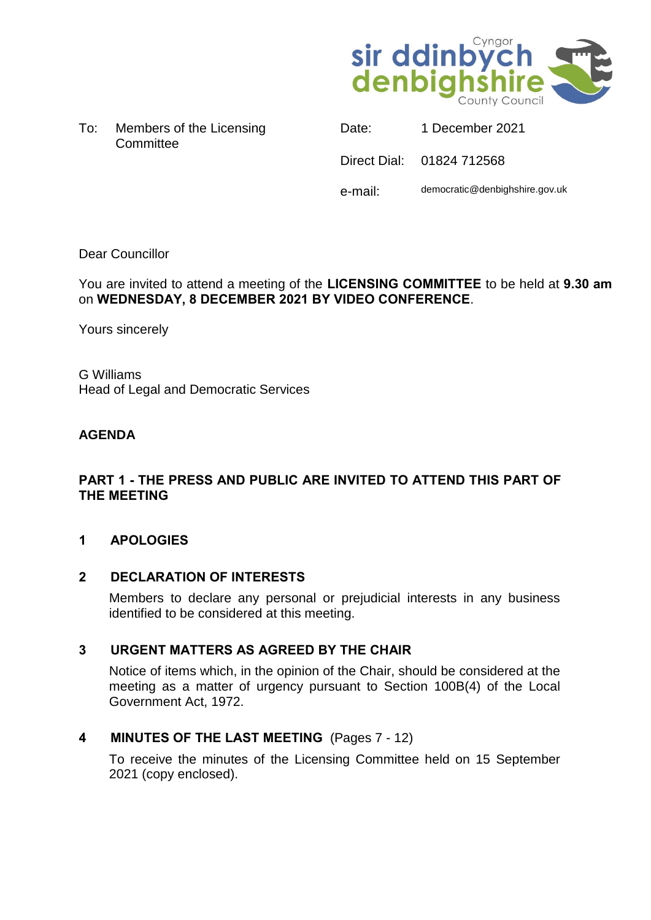

To: Members of the Licensing **Committee** 

| Date:   | 1 December 2021                |
|---------|--------------------------------|
|         | Direct Dial: 01824 712568      |
| e-mail: | democratic@denbighshire.gov.uk |

## Dear Councillor

You are invited to attend a meeting of the **LICENSING COMMITTEE** to be held at **9.30 am** on **WEDNESDAY, 8 DECEMBER 2021 BY VIDEO CONFERENCE**.

Yours sincerely

G Williams Head of Legal and Democratic Services

# **AGENDA**

## **PART 1 - THE PRESS AND PUBLIC ARE INVITED TO ATTEND THIS PART OF THE MEETING**

# **1 APOLOGIES**

## **2 DECLARATION OF INTERESTS**

Members to declare any personal or prejudicial interests in any business identified to be considered at this meeting.

# **3 URGENT MATTERS AS AGREED BY THE CHAIR**

Notice of items which, in the opinion of the Chair, should be considered at the meeting as a matter of urgency pursuant to Section 100B(4) of the Local Government Act, 1972.

# **4 MINUTES OF THE LAST MEETING** (Pages 7 - 12)

To receive the minutes of the Licensing Committee held on 15 September 2021 (copy enclosed).